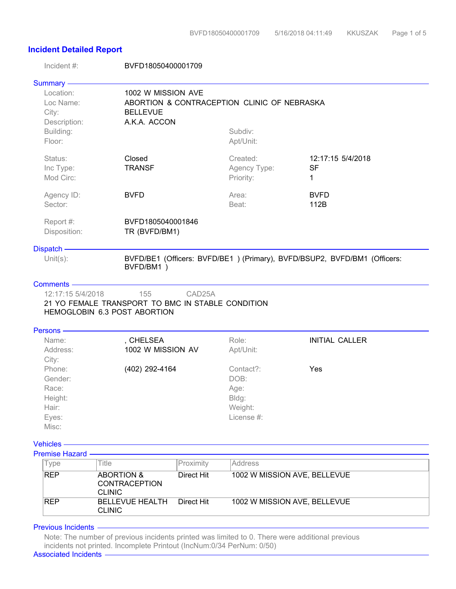## **Incident Detailed Report**

| Incident #:                                                            | BVFD18050400001709                                                                |                     |                                                                     |                                                                          |
|------------------------------------------------------------------------|-----------------------------------------------------------------------------------|---------------------|---------------------------------------------------------------------|--------------------------------------------------------------------------|
| Summary -                                                              |                                                                                   |                     |                                                                     |                                                                          |
| Location:<br>Loc Name:<br>City:<br>Description:<br>Building:<br>Floor: | 1002 W MISSION AVE<br><b>BELLEVUE</b><br>A.K.A. ACCON                             |                     | ABORTION & CONTRACEPTION CLINIC OF NEBRASKA<br>Subdiv:<br>Apt/Unit: |                                                                          |
| Status:<br>Inc Type:<br>Mod Circ:                                      | Closed<br><b>TRANSF</b>                                                           |                     | Created:<br>Agency Type:<br>Priority:                               | 12:17:15 5/4/2018<br><b>SF</b><br>1                                      |
| Agency ID:<br>Sector:                                                  | <b>BVFD</b>                                                                       |                     | Area:<br>Beat:                                                      | <b>BVFD</b><br>112B                                                      |
| Report #:<br>Disposition:                                              | BVFD1805040001846<br>TR (BVFD/BM1)                                                |                     |                                                                     |                                                                          |
| Dispatch -                                                             |                                                                                   |                     |                                                                     |                                                                          |
| Unit $(s)$ :                                                           | BVFD/BM1)                                                                         |                     |                                                                     | BVFD/BE1 (Officers: BVFD/BE1) (Primary), BVFD/BSUP2, BVFD/BM1 (Officers: |
| Comments -                                                             |                                                                                   |                     |                                                                     |                                                                          |
| 12:17:15 5/4/2018                                                      | 155                                                                               | CAD <sub>25</sub> A |                                                                     |                                                                          |
|                                                                        | 21 YO FEMALE TRANSPORT TO BMC IN STABLE CONDITION<br>HEMOGLOBIN 6.3 POST ABORTION |                     |                                                                     |                                                                          |
|                                                                        |                                                                                   |                     |                                                                     |                                                                          |
| Persons -<br>Name:                                                     | , CHELSEA                                                                         |                     | Role:                                                               | <b>INITIAL CALLER</b>                                                    |
| Address:                                                               | 1002 W MISSION AV                                                                 |                     | Apt/Unit:                                                           |                                                                          |
| City:                                                                  |                                                                                   |                     |                                                                     |                                                                          |
| Phone:                                                                 | (402) 292-4164                                                                    |                     | Contact?:                                                           | Yes                                                                      |
| Gender:                                                                |                                                                                   |                     | DOB:                                                                |                                                                          |
| Race:                                                                  |                                                                                   |                     | Age:                                                                |                                                                          |
| Height:                                                                |                                                                                   |                     | Bldg:                                                               |                                                                          |
| Hair:                                                                  |                                                                                   |                     | Weight:                                                             |                                                                          |
| Eyes:                                                                  |                                                                                   |                     | License #:                                                          |                                                                          |
| Misc:                                                                  |                                                                                   |                     |                                                                     |                                                                          |
| <b>Vehicles</b>                                                        |                                                                                   |                     |                                                                     |                                                                          |
| <b>Premise Hazard</b>                                                  |                                                                                   |                     |                                                                     |                                                                          |
| Type                                                                   | <b>Title</b>                                                                      | Proximity           | Address                                                             |                                                                          |
| <b>REP</b>                                                             | <b>ABORTION &amp;</b>                                                             | <b>Direct Hit</b>   |                                                                     |                                                                          |
|                                                                        | <b>CONTRACEPTION</b><br><b>CLINIC</b>                                             |                     | 1002 W MISSION AVE, BELLEVUE                                        |                                                                          |
| <b>REP</b>                                                             | <b>BELLEVUE HEALTH</b>                                                            | <b>Direct Hit</b>   | 1002 W MISSION AVE, BELLEVUE                                        |                                                                          |

## Previous Incidents -

CLINIC

Note: The number of previous incidents printed was limited to 0. There were additional previous incidents not printed. Incomplete Printout (IncNum:0/34 PerNum: 0/50)

Associated Incidents -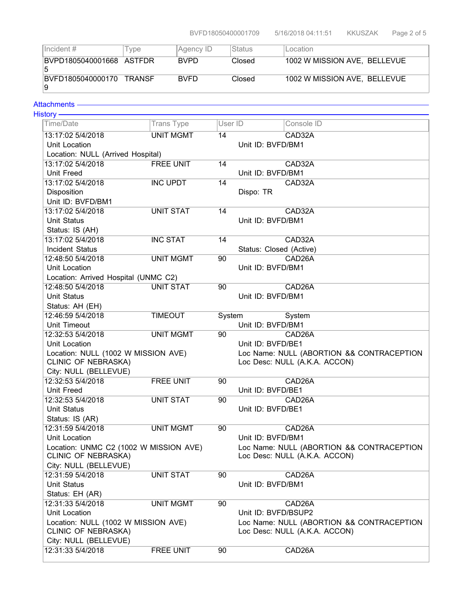| $ $ Incident #                | l ype  | Agency ID   | <b>Status</b> | Location                     |
|-------------------------------|--------|-------------|---------------|------------------------------|
| BVPD1805040001668 ASTFDR<br>5 |        | <b>BVPD</b> | Closed        | 1002 W MISSION AVE, BELLEVUE |
| BVFD1805040000170<br>-9       | TRANSF | <b>BVFD</b> | Closed        | 1002 W MISSION AVE, BELLEVUE |

## Attachments-

| ₠<br>۰ | C | ı |  |
|--------|---|---|--|
|        |   |   |  |

| Time/Date                                                            | <b>Trans Type</b> | User ID |                         | Console ID                                |  |
|----------------------------------------------------------------------|-------------------|---------|-------------------------|-------------------------------------------|--|
| 13:17:02 5/4/2018                                                    | <b>UNIT MGMT</b>  | 14      |                         | CAD32A                                    |  |
| Unit Location                                                        |                   |         |                         | Unit ID: BVFD/BM1                         |  |
| Location: NULL (Arrived Hospital)                                    |                   |         |                         |                                           |  |
| 13:17:02 5/4/2018                                                    | <b>FREE UNIT</b>  | 14      |                         | CAD32A                                    |  |
| Unit Freed                                                           |                   |         | Unit ID: BVFD/BM1       |                                           |  |
| 13:17:02 5/4/2018                                                    | <b>INC UPDT</b>   | 14      |                         | CAD32A                                    |  |
| Disposition                                                          |                   |         | Dispo: TR               |                                           |  |
| Unit ID: BVFD/BM1                                                    |                   |         |                         |                                           |  |
| 13:17:02 5/4/2018                                                    | UNIT STAT         | 14      |                         | CAD32A                                    |  |
| <b>Unit Status</b>                                                   |                   |         | Unit ID: BVFD/BM1       |                                           |  |
| Status: IS (AH)                                                      |                   |         |                         |                                           |  |
| 13:17:02 5/4/2018                                                    | <b>INC STAT</b>   | 14      |                         | CAD32A                                    |  |
| Incident Status                                                      |                   |         | Status: Closed (Active) |                                           |  |
| 12:48:50 5/4/2018                                                    | <b>UNIT MGMT</b>  | 90      |                         | CAD <sub>26</sub> A                       |  |
| Unit Location                                                        |                   |         | Unit ID: BVFD/BM1       |                                           |  |
| Location: Arrived Hospital (UNMC C2)                                 |                   |         |                         |                                           |  |
| 12:48:50 5/4/2018                                                    | <b>UNIT STAT</b>  | 90      |                         | CAD26A                                    |  |
| <b>Unit Status</b>                                                   |                   |         | Unit ID: BVFD/BM1       |                                           |  |
| Status: AH (EH)                                                      |                   |         |                         |                                           |  |
| 12:46:59 5/4/2018                                                    | <b>TIMEOUT</b>    | System  |                         | System                                    |  |
| Unit Timeout                                                         |                   |         | Unit ID: BVFD/BM1       |                                           |  |
| 12:32:53 5/4/2018                                                    | <b>UNIT MGMT</b>  | 90      |                         | CAD26A                                    |  |
| Unit Location                                                        |                   |         | Unit ID: BVFD/BE1       |                                           |  |
| Location: NULL (1002 W MISSION AVE)                                  |                   |         |                         | Loc Name: NULL (ABORTION && CONTRACEPTION |  |
| CLINIC OF NEBRASKA)                                                  |                   |         |                         | Loc Desc: NULL (A.K.A. ACCON)             |  |
| City: NULL (BELLEVUE)<br>12:32:53 5/4/2018                           |                   |         |                         |                                           |  |
| Unit Freed                                                           | <b>FREE UNIT</b>  | 90      | Unit ID: BVFD/BE1       | CAD26A                                    |  |
| 12:32:53 5/4/2018                                                    | <b>UNIT STAT</b>  |         |                         | CAD26A                                    |  |
| <b>Unit Status</b>                                                   |                   | 90      | Unit ID: BVFD/BE1       |                                           |  |
| Status: IS (AR)                                                      |                   |         |                         |                                           |  |
| 12:31:59 5/4/2018                                                    | <b>UNIT MGMT</b>  | 90      |                         | CAD26A                                    |  |
| Unit Location                                                        |                   |         | Unit ID: BVFD/BM1       |                                           |  |
|                                                                      |                   |         |                         | Loc Name: NULL (ABORTION && CONTRACEPTION |  |
| Location: UNMC C2 (1002 W MISSION AVE)<br><b>CLINIC OF NEBRASKA)</b> |                   |         |                         | Loc Desc: NULL (A.K.A. ACCON)             |  |
| City: NULL (BELLEVUE)                                                |                   |         |                         |                                           |  |
| 12:31:59 5/4/2018                                                    | <b>UNIT STAT</b>  | 90      |                         | CAD26A                                    |  |
| <b>Unit Status</b>                                                   |                   |         | Unit ID: BVFD/BM1       |                                           |  |
| Status: EH (AR)                                                      |                   |         |                         |                                           |  |
| 12:31:33 5/4/2018                                                    | <b>UNIT MGMT</b>  | 90      |                         | CAD26A                                    |  |
| Unit Location                                                        |                   |         | Unit ID: BVFD/BSUP2     |                                           |  |
| Location: NULL (1002 W MISSION AVE)                                  |                   |         |                         | Loc Name: NULL (ABORTION && CONTRACEPTION |  |
| CLINIC OF NEBRASKA)                                                  |                   |         |                         | Loc Desc: NULL (A.K.A. ACCON)             |  |
| City: NULL (BELLEVUE)                                                |                   |         |                         |                                           |  |
| 12:31:33 5/4/2018                                                    | <b>FREE UNIT</b>  | 90      |                         | CAD <sub>26</sub> A                       |  |
|                                                                      |                   |         |                         |                                           |  |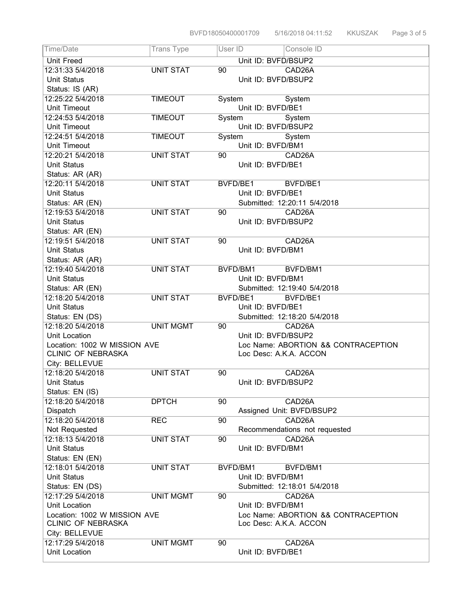| Time/Date                          | <b>Trans Type</b> | User $I\overline{D}$ | Console ID                          |
|------------------------------------|-------------------|----------------------|-------------------------------------|
| <b>Unit Freed</b>                  |                   |                      | Unit ID: BVFD/BSUP2                 |
| 12:31:33 5/4/2018                  | <b>UNIT STAT</b>  | 90                   | CAD26A                              |
| <b>Unit Status</b>                 |                   |                      | Unit ID: BVFD/BSUP2                 |
| Status: IS (AR)                    |                   |                      |                                     |
| 12:25:22 5/4/2018                  | <b>TIMEOUT</b>    | System               | System                              |
| Unit Timeout                       |                   |                      | Unit ID: BVFD/BE1                   |
| 12:24:53 5/4/2018                  | <b>TIMEOUT</b>    | System               | System                              |
| Unit Timeout                       |                   |                      | Unit ID: BVFD/BSUP2                 |
| 12:24:51 5/4/2018                  | <b>TIMEOUT</b>    | System               | System                              |
| Unit Timeout                       |                   |                      | Unit ID: BVFD/BM1                   |
| 12:20:21 5/4/2018                  | <b>UNIT STAT</b>  | 90                   | CAD26A                              |
| <b>Unit Status</b>                 |                   |                      | Unit ID: BVFD/BE1                   |
| Status: AR (AR)                    |                   |                      |                                     |
| 12:20:11 5/4/2018                  | <b>UNIT STAT</b>  |                      | BVFD/BE1<br>BVFD/BE1                |
| <b>Unit Status</b>                 |                   |                      | Unit ID: BVFD/BE1                   |
| Status: AR (EN)                    |                   |                      | Submitted: 12:20:11 5/4/2018        |
| 12:19:53 5/4/2018                  | <b>UNIT STAT</b>  | 90                   | CAD26A                              |
| <b>Unit Status</b>                 |                   |                      | Unit ID: BVFD/BSUP2                 |
| Status: AR (EN)                    |                   |                      |                                     |
| 12:19:51 5/4/2018                  | <b>UNIT STAT</b>  | 90                   | CAD26A                              |
| <b>Unit Status</b>                 |                   |                      | Unit ID: BVFD/BM1                   |
| Status: AR (AR)                    |                   |                      |                                     |
| 12:19:40 5/4/2018                  | <b>UNIT STAT</b>  |                      | BVFD/BM1<br>BVFD/BM1                |
| <b>Unit Status</b>                 |                   |                      | Unit ID: BVFD/BM1                   |
| Status: AR (EN)                    |                   |                      | Submitted: 12:19:40 5/4/2018        |
| 12:18:20 5/4/2018                  | <b>UNIT STAT</b>  |                      | BVFD/BE1<br>BVFD/BE1                |
| <b>Unit Status</b>                 |                   |                      | Unit ID: BVFD/BE1                   |
| Status: EN (DS)                    |                   |                      | Submitted: 12:18:20 5/4/2018        |
| 12:18:20 5/4/2018                  | <b>UNIT MGMT</b>  | 90                   | CAD <sub>26</sub> A                 |
| Unit Location                      |                   |                      | Unit ID: BVFD/BSUP2                 |
| Location: 1002 W MISSION AVE       |                   |                      | Loc Name: ABORTION && CONTRACEPTION |
| CLINIC OF NEBRASKA                 |                   |                      | Loc Desc: A.K.A. ACCON              |
| City: BELLEVUE                     |                   |                      |                                     |
| 12:18:20 5/4/2018                  | <b>UNIT STAT</b>  | 90                   | CAD <sub>26</sub> A                 |
| <b>Unit Status</b>                 |                   |                      | Unit ID: BVFD/BSUP2                 |
| Status: EN (IS)                    |                   |                      |                                     |
| 12:18:20 5/4/2018                  | <b>DPTCH</b>      | 90                   | CAD26A                              |
| Dispatch                           |                   |                      | Assigned Unit: BVFD/BSUP2           |
| 12:18:20 5/4/2018                  | <b>REC</b>        | 90                   | CAD26A                              |
| Not Requested                      |                   |                      | Recommendations not requested       |
| 12:18:13 5/4/2018                  | <b>UNIT STAT</b>  | 90                   | CAD <sub>26</sub> A                 |
| <b>Unit Status</b>                 |                   |                      | Unit ID: BVFD/BM1                   |
| Status: EN (EN)                    |                   |                      |                                     |
| 12:18:01 5/4/2018                  | <b>UNIT STAT</b>  |                      | BVFD/BM1<br>BVFD/BM1                |
| <b>Unit Status</b>                 |                   |                      |                                     |
|                                    |                   |                      | Unit ID: BVFD/BM1                   |
| Status: EN (DS)                    |                   |                      | Submitted: 12:18:01 5/4/2018        |
| 12:17:29 5/4/2018                  | <b>UNIT MGMT</b>  | 90                   | CAD26A                              |
| Unit Location                      |                   |                      | Unit ID: BVFD/BM1                   |
| Location: 1002 W MISSION AVE       |                   |                      | Loc Name: ABORTION && CONTRACEPTION |
| <b>CLINIC OF NEBRASKA</b>          |                   |                      | Loc Desc: A.K.A. ACCON              |
| City: BELLEVUE                     |                   |                      |                                     |
| 12:17:29 5/4/2018<br>Unit Location | <b>UNIT MGMT</b>  | 90                   | CAD26A<br>Unit ID: BVFD/BE1         |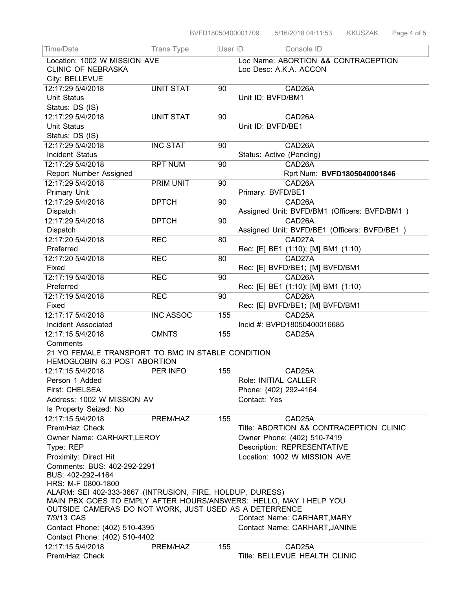| Time/Date                                                                                                                   | <b>Trans Type</b> | User ID                                 | Console ID                                   |  |  |  |
|-----------------------------------------------------------------------------------------------------------------------------|-------------------|-----------------------------------------|----------------------------------------------|--|--|--|
| Location: 1002 W MISSION AVE                                                                                                |                   |                                         | Loc Name: ABORTION && CONTRACEPTION          |  |  |  |
| <b>CLINIC OF NEBRASKA</b>                                                                                                   |                   | Loc Desc: A.K.A. ACCON                  |                                              |  |  |  |
| City: BELLEVUE                                                                                                              |                   |                                         |                                              |  |  |  |
| 12:17:29 5/4/2018                                                                                                           | <b>UNIT STAT</b>  | 90                                      | CAD <sub>26</sub> A                          |  |  |  |
| <b>Unit Status</b>                                                                                                          |                   |                                         | Unit ID: BVFD/BM1                            |  |  |  |
| Status: DS (IS)                                                                                                             |                   |                                         |                                              |  |  |  |
| 12:17:29 5/4/2018                                                                                                           | <b>UNIT STAT</b>  | 90                                      | CAD <sub>26</sub> A                          |  |  |  |
| <b>Unit Status</b>                                                                                                          |                   |                                         | Unit ID: BVFD/BE1                            |  |  |  |
| Status: DS (IS)                                                                                                             |                   |                                         |                                              |  |  |  |
| 12:17:29 5/4/2018                                                                                                           | <b>INC STAT</b>   | 90                                      | CAD <sub>26</sub> A                          |  |  |  |
| Incident Status                                                                                                             |                   |                                         | Status: Active (Pending)                     |  |  |  |
| 12:17:29 5/4/2018                                                                                                           | <b>RPT NUM</b>    | 90                                      | CAD26A                                       |  |  |  |
| Report Number Assigned                                                                                                      |                   |                                         | Rprt Num: BVFD1805040001846                  |  |  |  |
| 12:17:29 5/4/2018                                                                                                           | PRIM UNIT         | 90                                      | CAD <sub>26</sub> A                          |  |  |  |
| Primary Unit                                                                                                                |                   |                                         | Primary: BVFD/BE1                            |  |  |  |
| 12:17:29 5/4/2018                                                                                                           | <b>DPTCH</b>      | 90                                      | CAD26A                                       |  |  |  |
| Dispatch                                                                                                                    |                   |                                         | Assigned Unit: BVFD/BM1 (Officers: BVFD/BM1) |  |  |  |
| 12:17:29 5/4/2018                                                                                                           | <b>DPTCH</b>      | 90                                      | CAD26A                                       |  |  |  |
| Dispatch                                                                                                                    |                   |                                         | Assigned Unit: BVFD/BE1 (Officers: BVFD/BE1) |  |  |  |
| 12:17:20 5/4/2018                                                                                                           | <b>REC</b>        | 80                                      | CAD27A                                       |  |  |  |
| Preferred                                                                                                                   |                   |                                         | Rec: [E] BE1 (1:10); [M] BM1 (1:10)          |  |  |  |
| 12:17:20 5/4/2018                                                                                                           | <b>REC</b>        | 80                                      | CAD27A                                       |  |  |  |
| Fixed                                                                                                                       |                   |                                         | Rec: [E] BVFD/BE1; [M] BVFD/BM1              |  |  |  |
| 12:17:19 5/4/2018                                                                                                           | <b>REC</b>        | 90                                      | CAD26A                                       |  |  |  |
| Preferred                                                                                                                   |                   |                                         | Rec: [E] BE1 (1:10); [M] BM1 (1:10)          |  |  |  |
| 12:17:19 5/4/2018                                                                                                           | <b>REC</b>        | 90                                      | CAD26A                                       |  |  |  |
| Fixed                                                                                                                       |                   |                                         | Rec: [E] BVFD/BE1; [M] BVFD/BM1              |  |  |  |
| 12:17:17 5/4/2018                                                                                                           | <b>INC ASSOC</b>  | 155                                     | CAD25A                                       |  |  |  |
| Incident Associated                                                                                                         |                   |                                         | Incid #: BVPD18050400016685                  |  |  |  |
| 12:17:15 5/4/2018                                                                                                           | <b>CMNTS</b>      | 155                                     | CAD25A                                       |  |  |  |
| Comments                                                                                                                    |                   |                                         |                                              |  |  |  |
| 21 YO FEMALE TRANSPORT TO BMC IN STABLE CONDITION<br>HEMOGLOBIN 6.3 POST ABORTION                                           |                   |                                         |                                              |  |  |  |
| 12:17:15 5/4/2018                                                                                                           | PER INFO          | 155                                     | CAD25A                                       |  |  |  |
| Person 1 Added                                                                                                              |                   |                                         | Role: INITIAL CALLER                         |  |  |  |
| <b>First: CHELSEA</b>                                                                                                       |                   |                                         | Phone: (402) 292-4164                        |  |  |  |
| Address: 1002 W MISSION AV                                                                                                  |                   |                                         | Contact: Yes                                 |  |  |  |
| Is Property Seized: No                                                                                                      |                   |                                         |                                              |  |  |  |
| 12:17:15 5/4/2018                                                                                                           | PREM/HAZ          | 155                                     | CAD <sub>25</sub> A                          |  |  |  |
| Prem/Haz Check                                                                                                              |                   | Title: ABORTION && CONTRACEPTION CLINIC |                                              |  |  |  |
| Owner Name: CARHART, LEROY                                                                                                  |                   |                                         | Owner Phone: (402) 510-7419                  |  |  |  |
| Type: REP                                                                                                                   |                   |                                         | Description: REPRESENTATIVE                  |  |  |  |
| Proximity: Direct Hit                                                                                                       |                   |                                         | Location: 1002 W MISSION AVE                 |  |  |  |
| Comments: BUS: 402-292-2291                                                                                                 |                   |                                         |                                              |  |  |  |
| BUS: 402-292-4164                                                                                                           |                   |                                         |                                              |  |  |  |
| HRS: M-F 0800-1800                                                                                                          |                   |                                         |                                              |  |  |  |
| ALARM: SEI 402-333-3667 (INTRUSION, FIRE, HOLDUP, DURESS)                                                                   |                   |                                         |                                              |  |  |  |
| MAIN PBX GOES TO EMPLY AFTER HOURS/ANSWERS: HELLO, MAY I HELP YOU<br>OUTSIDE CAMERAS DO NOT WORK, JUST USED AS A DETERRENCE |                   |                                         |                                              |  |  |  |
|                                                                                                                             |                   |                                         |                                              |  |  |  |
| 7/9/13 CAS                                                                                                                  |                   |                                         | Contact Name: CARHART, MARY                  |  |  |  |
| Contact Phone: (402) 510-4395                                                                                               |                   |                                         | Contact Name: CARHART, JANINE                |  |  |  |
| Contact Phone: (402) 510-4402                                                                                               |                   |                                         |                                              |  |  |  |
| 12:17:15 5/4/2018                                                                                                           | PREM/HAZ          | 155                                     | CAD25A                                       |  |  |  |
| Prem/Haz Check                                                                                                              |                   |                                         | Title: BELLEVUE HEALTH CLINIC                |  |  |  |